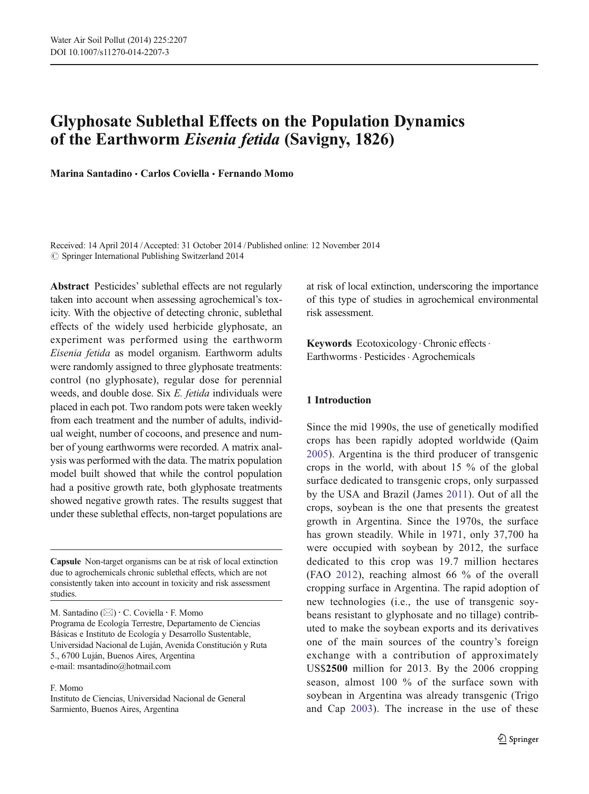# Glyphosate Sublethal Effects on the Population Dynamics of the Earthworm Eisenia fetida (Savigny, 1826)

Marina Santadino · Carlos Coviella · Fernando Momo

Received: 14 April 2014 /Accepted: 31 October 2014 /Published online: 12 November 2014  $\odot$  Springer International Publishing Switzerland 2014

Abstract Pesticides' sublethal effects are not regularly taken into account when assessing agrochemical's toxicity. With the objective of detecting chronic, sublethal effects of the widely used herbicide glyphosate, an experiment was performed using the earthworm Eisenia fetida as model organism. Earthworm adults were randomly assigned to three glyphosate treatments: control (no glyphosate), regular dose for perennial weeds, and double dose. Six E. fetida individuals were placed in each pot. Two random pots were taken weekly from each treatment and the number of adults, individual weight, number of cocoons, and presence and number of young earthworms were recorded. A matrix analysis was performed with the data. The matrix population model built showed that while the control population had a positive growth rate, both glyphosate treatments showed negative growth rates. The results suggest that under these sublethal effects, non-target populations are

Capsule Non-target organisms can be at risk of local extinction due to agrochemicals chronic sublethal effects, which are not consistently taken into account in toxicity and risk assessment studies.

M. Santadino (⊠) · C. Coviella · F. Momo Programa de Ecología Terrestre, Departamento de Ciencias Básicas e Instituto de Ecología y Desarrollo Sustentable, Universidad Nacional de Luján, Avenida Constitución y Ruta 5., 6700 Luján, Buenos Aires, Argentina e-mail: msantadino@hotmail.com

F. Momo

Instituto de Ciencias, Universidad Nacional de General Sarmiento, Buenos Aires, Argentina

at risk of local extinction, underscoring the importance of this type of studies in agrochemical environmental risk assessment.

Keywords Ecotoxicology Chronic effects. Earthworms · Pesticides · Agrochemicals

# 1 Introduction

Since the mid 1990s, the use of genetically modified crops has been rapidly adopted worldwide (Qaim [2005](#page-6-0)). Argentina is the third producer of transgenic crops in the world, with about 15 % of the global surface dedicated to transgenic crops, only surpassed by the USA and Brazil (James [2011](#page-6-0)). Out of all the crops, soybean is the one that presents the greatest growth in Argentina. Since the 1970s, the surface has grown steadily. While in 1971, only 37,700 ha were occupied with soybean by 2012, the surface dedicated to this crop was 19.7 million hectares (FAO [2012\)](#page-6-0), reaching almost 66 % of the overall cropping surface in Argentina. The rapid adoption of new technologies (i.e., the use of transgenic soybeans resistant to glyphosate and no tillage) contributed to make the soybean exports and its derivatives one of the main sources of the country's foreign exchange with a contribution of approximately US\$2500 million for 2013. By the 2006 cropping season, almost 100 % of the surface sown with soybean in Argentina was already transgenic (Trigo and Cap [2003\)](#page-7-0). The increase in the use of these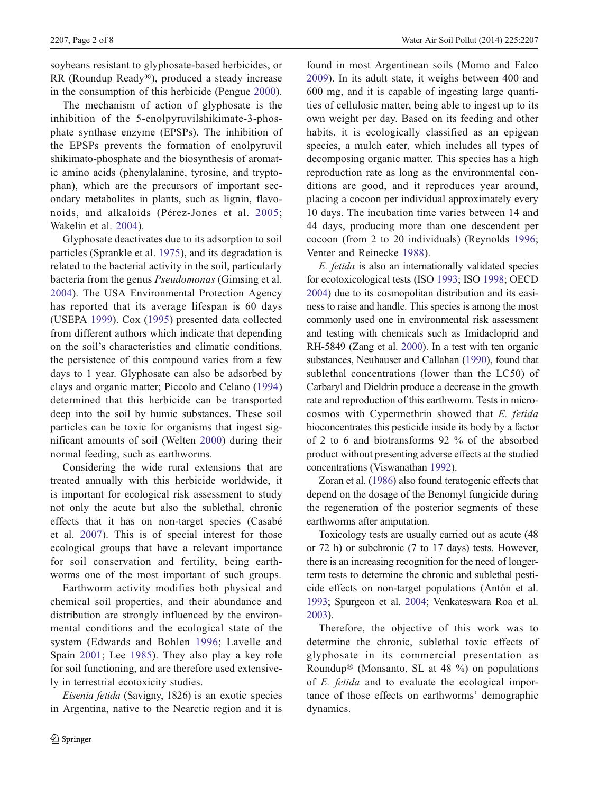soybeans resistant to glyphosate-based herbicides, or RR (Roundup Ready®), produced a steady increase in the consumption of this herbicide (Pengue [2000](#page-6-0)).

The mechanism of action of glyphosate is the inhibition of the 5-enolpyruvilshikimate-3-phosphate synthase enzyme (EPSPs). The inhibition of the EPSPs prevents the formation of enolpyruvil shikimato-phosphate and the biosynthesis of aromatic amino acids (phenylalanine, tyrosine, and tryptophan), which are the precursors of important secondary metabolites in plants, such as lignin, flavonoids, and alkaloids (Pérez-Jones et al. [2005](#page-6-0); Wakelin et al. [2004](#page-7-0)).

Glyphosate deactivates due to its adsorption to soil particles (Sprankle et al. [1975\)](#page-6-0), and its degradation is related to the bacterial activity in the soil, particularly bacteria from the genus Pseudomonas (Gimsing et al. [2004](#page-6-0)). The USA Environmental Protection Agency has reported that its average lifespan is 60 days (USEPA [1999\)](#page-7-0). Cox [\(1995](#page-6-0)) presented data collected from different authors which indicate that depending on the soil's characteristics and climatic conditions, the persistence of this compound varies from a few days to 1 year. Glyphosate can also be adsorbed by clays and organic matter; Piccolo and Celano ([1994\)](#page-6-0) determined that this herbicide can be transported deep into the soil by humic substances. These soil particles can be toxic for organisms that ingest significant amounts of soil (Welten [2000](#page-7-0)) during their normal feeding, such as earthworms.

Considering the wide rural extensions that are treated annually with this herbicide worldwide, it is important for ecological risk assessment to study not only the acute but also the sublethal, chronic effects that it has on non-target species (Casabé et al. [2007\)](#page-6-0). This is of special interest for those ecological groups that have a relevant importance for soil conservation and fertility, being earthworms one of the most important of such groups.

Earthworm activity modifies both physical and chemical soil properties, and their abundance and distribution are strongly influenced by the environmental conditions and the ecological state of the system (Edwards and Bohlen [1996;](#page-6-0) Lavelle and Spain [2001;](#page-6-0) Lee [1985](#page-6-0)). They also play a key role for soil functioning, and are therefore used extensively in terrestrial ecotoxicity studies.

Eisenia fetida (Savigny, 1826) is an exotic species in Argentina, native to the Nearctic region and it is found in most Argentinean soils (Momo and Falco [2009](#page-6-0)). In its adult state, it weighs between 400 and 600 mg, and it is capable of ingesting large quantities of cellulosic matter, being able to ingest up to its own weight per day. Based on its feeding and other habits, it is ecologically classified as an epigean species, a mulch eater, which includes all types of decomposing organic matter. This species has a high reproduction rate as long as the environmental conditions are good, and it reproduces year around, placing a cocoon per individual approximately every 10 days. The incubation time varies between 14 and 44 days, producing more than one descendent per cocoon (from 2 to 20 individuals) (Reynolds [1996;](#page-6-0) Venter and Reinecke [1988](#page-7-0)).

E. fetida is also an internationally validated species for ecotoxicological tests (ISO [1993](#page-6-0); ISO [1998](#page-6-0); OECD [2004](#page-6-0)) due to its cosmopolitan distribution and its easiness to raise and handle. This species is among the most commonly used one in environmental risk assessment and testing with chemicals such as Imidacloprid and RH-5849 (Zang et al. [2000\)](#page-7-0). In a test with ten organic substances, Neuhauser and Callahan ([1990](#page-6-0)), found that sublethal concentrations (lower than the LC50) of Carbaryl and Dieldrin produce a decrease in the growth rate and reproduction of this earthworm. Tests in microcosmos with Cypermethrin showed that E. fetida bioconcentrates this pesticide inside its body by a factor of 2 to 6 and biotransforms 92 % of the absorbed product without presenting adverse effects at the studied concentrations (Viswanathan [1992](#page-7-0)).

Zoran et al. [\(1986](#page-7-0)) also found teratogenic effects that depend on the dosage of the Benomyl fungicide during the regeneration of the posterior segments of these earthworms after amputation.

Toxicology tests are usually carried out as acute (48 or 72 h) or subchronic (7 to 17 days) tests. However, there is an increasing recognition for the need of longerterm tests to determine the chronic and sublethal pesticide effects on non-target populations (Antón et al. [1993](#page-6-0); Spurgeon et al. [2004;](#page-6-0) Venkateswara Roa et al. [2003](#page-7-0)).

Therefore, the objective of this work was to determine the chronic, sublethal toxic effects of glyphosate in its commercial presentation as Roundup® (Monsanto, SL at 48 %) on populations of E. fetida and to evaluate the ecological importance of those effects on earthworms' demographic dynamics.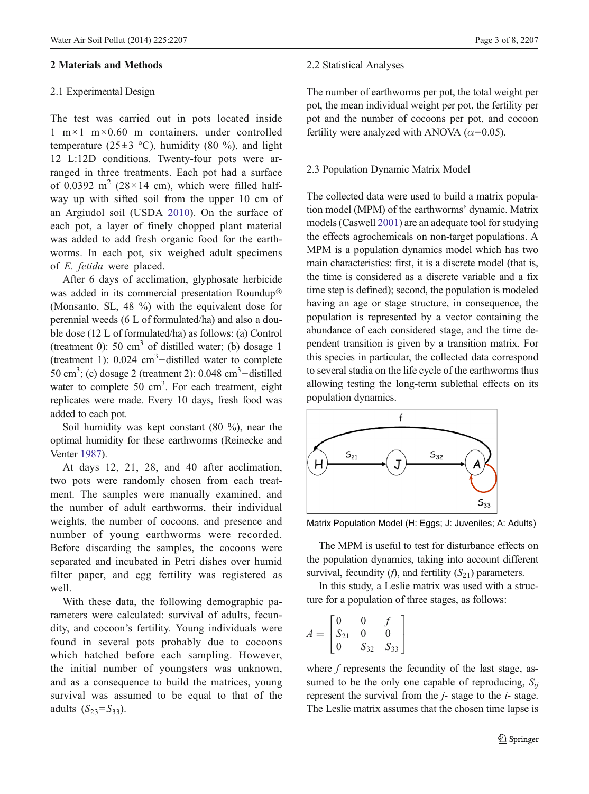### 2 Materials and Methods

## 2.1 Experimental Design

The test was carried out in pots located inside  $1 \text{ m} \times 1 \text{ m} \times 0.60 \text{ m}$  containers, under controlled temperature (25 $\pm$ 3 °C), humidity (80 %), and light 12 L:12D conditions. Twenty-four pots were arranged in three treatments. Each pot had a surface of 0.0392 m<sup>2</sup> (28 × 14 cm), which were filled halfway up with sifted soil from the upper 10 cm of an Argiudol soil (USDA [2010](#page-7-0)). On the surface of each pot, a layer of finely chopped plant material was added to add fresh organic food for the earthworms. In each pot, six weighed adult specimens of E. fetida were placed.

After 6 days of acclimation, glyphosate herbicide was added in its commercial presentation Roundup® (Monsanto, SL, 48 %) with the equivalent dose for perennial weeds (6 L of formulated/ha) and also a double dose (12 L of formulated/ha) as follows: (a) Control (treatment 0): 50  $\text{cm}^3$  of distilled water; (b) dosage 1 (treatment 1):  $0.024 \text{ cm}^3 + \text{distilled water to complete}$ 50 cm<sup>3</sup>; (c) dosage 2 (treatment 2):  $0.048 \text{ cm}^3$ +distilled water to complete 50 cm<sup>3</sup>. For each treatment, eight replicates were made. Every 10 days, fresh food was added to each pot.

Soil humidity was kept constant (80 %), near the optimal humidity for these earthworms (Reinecke and Venter [1987](#page-6-0)).

At days 12, 21, 28, and 40 after acclimation, two pots were randomly chosen from each treatment. The samples were manually examined, and the number of adult earthworms, their individual weights, the number of cocoons, and presence and number of young earthworms were recorded. Before discarding the samples, the cocoons were separated and incubated in Petri dishes over humid filter paper, and egg fertility was registered as well.

With these data, the following demographic parameters were calculated: survival of adults, fecundity, and cocoon's fertility. Young individuals were found in several pots probably due to cocoons which hatched before each sampling. However, the initial number of youngsters was unknown, and as a consequence to build the matrices, young survival was assumed to be equal to that of the adults  $(S_{23} = S_{33})$ .

#### 2.2 Statistical Analyses

The number of earthworms per pot, the total weight per pot, the mean individual weight per pot, the fertility per pot and the number of cocoons per pot, and cocoon fertility were analyzed with ANOVA ( $\alpha$ =0.05).

### 2.3 Population Dynamic Matrix Model

The collected data were used to build a matrix population model (MPM) of the earthworms' dynamic. Matrix models (Caswell [2001\)](#page-6-0) are an adequate tool for studying the effects agrochemicals on non-target populations. A MPM is a population dynamics model which has two main characteristics: first, it is a discrete model (that is, the time is considered as a discrete variable and a fix time step is defined); second, the population is modeled having an age or stage structure, in consequence, the population is represented by a vector containing the abundance of each considered stage, and the time dependent transition is given by a transition matrix. For this species in particular, the collected data correspond to several stadia on the life cycle of the earthworms thus allowing testing the long-term sublethal effects on its population dynamics.



Matrix Population Model (H: Eggs; J: Juveniles; A: Adults)

The MPM is useful to test for disturbance effects on the population dynamics, taking into account different survival, fecundity (*f*), and fertility  $(S_{21})$  parameters.

In this study, a Leslie matrix was used with a structure for a population of three stages, as follows:

$$
A = \begin{bmatrix} 0 & 0 & f \\ S_{21} & 0 & 0 \\ 0 & S_{32} & S_{33} \end{bmatrix}
$$

where f represents the fecundity of the last stage, assumed to be the only one capable of reproducing,  $S_{ii}$ represent the survival from the  $i$ - stage to the  $i$ - stage. The Leslie matrix assumes that the chosen time lapse is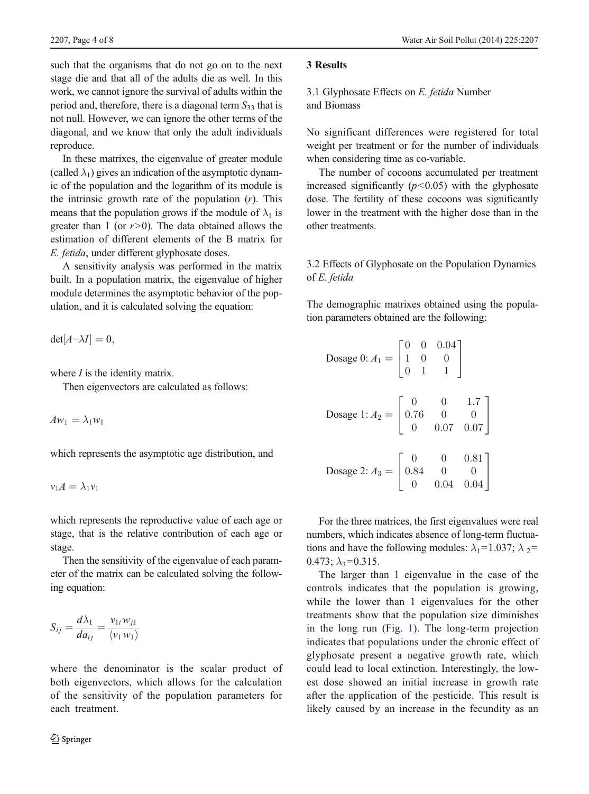such that the organisms that do not go on to the next stage die and that all of the adults die as well. In this work, we cannot ignore the survival of adults within the period and, therefore, there is a diagonal term  $S_{33}$  that is not null. However, we can ignore the other terms of the diagonal, and we know that only the adult individuals reproduce.

In these matrixes, the eigenvalue of greater module (called  $\lambda_1$ ) gives an indication of the asymptotic dynamic of the population and the logarithm of its module is the intrinsic growth rate of the population  $(r)$ . This means that the population grows if the module of  $\lambda_1$  is greater than 1 (or  $r > 0$ ). The data obtained allows the estimation of different elements of the B matrix for E. fetida, under different glyphosate doses.

A sensitivity analysis was performed in the matrix built. In a population matrix, the eigenvalue of higher module determines the asymptotic behavior of the population, and it is calculated solving the equation:

 $det[A-\lambda I] = 0,$ 

where  $I$  is the identity matrix.

Then eigenvectors are calculated as follows:

 $Aw_1 = \lambda_1w_1$ 

which represents the asymptotic age distribution, and

$$
v_1A=\lambda_1v_1
$$

which represents the reproductive value of each age or stage, that is the relative contribution of each age or stage.

Then the sensitivity of the eigenvalue of each parameter of the matrix can be calculated solving the following equation:

$$
S_{ij} = \frac{d\lambda_1}{da_{ij}} = \frac{v_{1i}w_{j1}}{\langle v_1 w_1 \rangle}
$$

where the denominator is the scalar product of both eigenvectors, which allows for the calculation of the sensitivity of the population parameters for each treatment.

# 3 Results

3.1 Glyphosate Effects on E. fetida Number and Biomass

No significant differences were registered for total weight per treatment or for the number of individuals when considering time as co-variable.

The number of cocoons accumulated per treatment increased significantly  $(p<0.05)$  with the glyphosate dose. The fertility of these cocoons was significantly lower in the treatment with the higher dose than in the other treatments.

# 3.2 Effects of Glyphosate on the Population Dynamics of E. fetida

The demographic matrixes obtained using the population parameters obtained are the following:

Dosage 0: 
$$
A_1 = \begin{bmatrix} 0 & 0 & 0.04 \\ 1 & 0 & 0 \\ 0 & 1 & 1 \end{bmatrix}
$$

\nDosage 1:  $A_2 = \begin{bmatrix} 0 & 0 & 1.7 \\ 0.76 & 0 & 0 \\ 0 & 0.07 & 0.07 \end{bmatrix}$ 

\nDosage 2:  $A_3 = \begin{bmatrix} 0 & 0 & 0.81 \\ 0.84 & 0 & 0 \\ 0 & 0.04 & 0.04 \end{bmatrix}$ 

For the three matrices, the first eigenvalues were real numbers, which indicates absence of long-term fluctuations and have the following modules:  $\lambda_1 = 1.037$ ;  $\lambda_2 =$  $0.473$ ;  $\lambda_3 = 0.315$ .

The larger than 1 eigenvalue in the case of the controls indicates that the population is growing, while the lower than 1 eigenvalues for the other treatments show that the population size diminishes in the long run (Fig. [1](#page-4-0)). The long-term projection indicates that populations under the chronic effect of glyphosate present a negative growth rate, which could lead to local extinction. Interestingly, the lowest dose showed an initial increase in growth rate after the application of the pesticide. This result is likely caused by an increase in the fecundity as an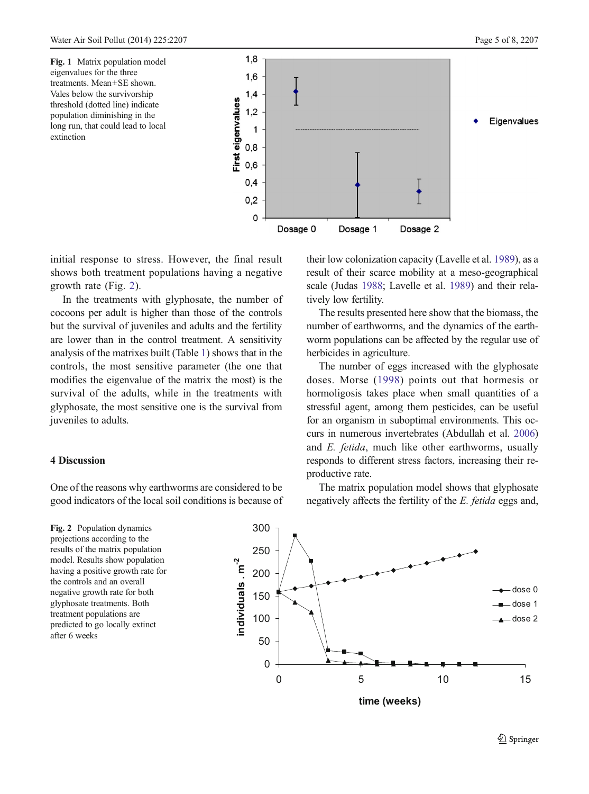<span id="page-4-0"></span>Fig. 1 Matrix population model eigenvalues for the three treatments. Mean±SE shown. Vales below the survivorship threshold (dotted line) indicate population diminishing in the long run, that could lead to local extinction



initial response to stress. However, the final result shows both treatment populations having a negative growth rate (Fig. 2).

In the treatments with glyphosate, the number of cocoons per adult is higher than those of the controls but the survival of juveniles and adults and the fertility are lower than in the control treatment. A sensitivity analysis of the matrixes built (Table [1\)](#page-5-0) shows that in the controls, the most sensitive parameter (the one that modifies the eigenvalue of the matrix the most) is the survival of the adults, while in the treatments with glyphosate, the most sensitive one is the survival from juveniles to adults.

### 4 Discussion

One of the reasons why earthworms are considered to be good indicators of the local soil conditions is because of

Fig. 2 Population dynamics projections according to the results of the matrix population model. Results show population having a positive growth rate for the controls and an overall negative growth rate for both glyphosate treatments. Both treatment populations are predicted to go locally extinct after 6 weeks

their low colonization capacity (Lavelle et al. [1989](#page-6-0)), as a result of their scarce mobility at a meso-geographical scale (Judas [1988;](#page-6-0) Lavelle et al. [1989](#page-6-0)) and their relatively low fertility.

The results presented here show that the biomass, the number of earthworms, and the dynamics of the earthworm populations can be affected by the regular use of herbicides in agriculture.

The number of eggs increased with the glyphosate doses. Morse ([1998\)](#page-6-0) points out that hormesis or hormoligosis takes place when small quantities of a stressful agent, among them pesticides, can be useful for an organism in suboptimal environments. This occurs in numerous invertebrates (Abdullah et al. [2006](#page-6-0)) and E. fetida, much like other earthworms, usually responds to different stress factors, increasing their reproductive rate.

The matrix population model shows that glyphosate negatively affects the fertility of the E. fetida eggs and,

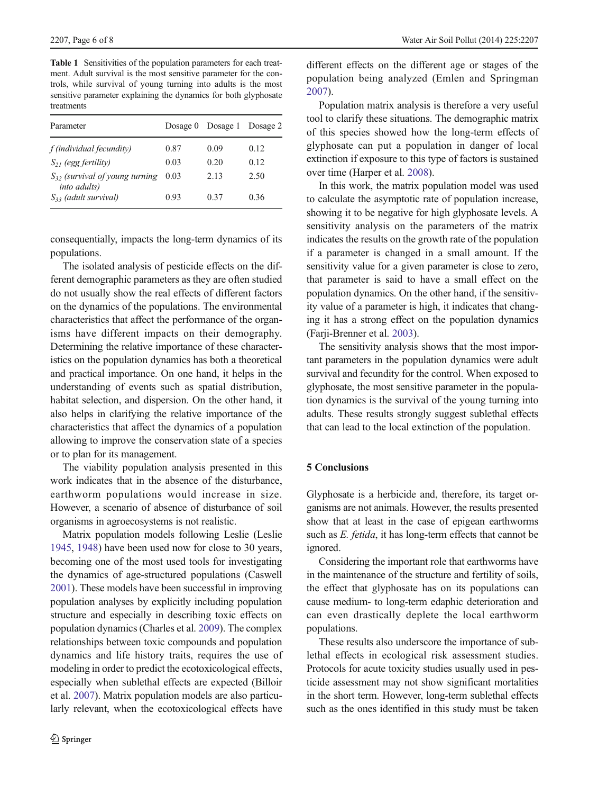<span id="page-5-0"></span>Table 1 Sensitivities of the population parameters for each treatment. Adult survival is the most sensitive parameter for the controls, while survival of young turning into adults is the most sensitive parameter explaining the dynamics for both glyphosate treatments

| Parameter                                                   | Dosage $0$ | Dosage 1 | Dosage 2 |
|-------------------------------------------------------------|------------|----------|----------|
| f (individual fecundity)                                    | 0.87       | 0.09     | 0.12     |
| $S_{21}$ (egg fertility)                                    | 0.03       | 0.20     | 0.12     |
| $S_{32}$ (survival of young turning<br><i>into adults</i> ) | 0.03       | 2.13     | 2.50     |
| $S_{33}$ (adult survival)                                   | 0.93       | 0.37     | 0.36     |

consequentially, impacts the long-term dynamics of its populations.

The isolated analysis of pesticide effects on the different demographic parameters as they are often studied do not usually show the real effects of different factors on the dynamics of the populations. The environmental characteristics that affect the performance of the organisms have different impacts on their demography. Determining the relative importance of these characteristics on the population dynamics has both a theoretical and practical importance. On one hand, it helps in the understanding of events such as spatial distribution, habitat selection, and dispersion. On the other hand, it also helps in clarifying the relative importance of the characteristics that affect the dynamics of a population allowing to improve the conservation state of a species or to plan for its management.

The viability population analysis presented in this work indicates that in the absence of the disturbance, earthworm populations would increase in size. However, a scenario of absence of disturbance of soil organisms in agroecosystems is not realistic.

Matrix population models following Leslie (Leslie [1945](#page-6-0), [1948](#page-6-0)) have been used now for close to 30 years, becoming one of the most used tools for investigating the dynamics of age-structured populations (Caswell [2001](#page-6-0)). These models have been successful in improving population analyses by explicitly including population structure and especially in describing toxic effects on population dynamics (Charles et al. [2009\)](#page-6-0). The complex relationships between toxic compounds and population dynamics and life history traits, requires the use of modeling in order to predict the ecotoxicological effects, especially when sublethal effects are expected (Billoir et al. [2007\)](#page-6-0). Matrix population models are also particularly relevant, when the ecotoxicological effects have

different effects on the different age or stages of the population being analyzed (Emlen and Springman [2007](#page-6-0)).

Population matrix analysis is therefore a very useful tool to clarify these situations. The demographic matrix of this species showed how the long-term effects of glyphosate can put a population in danger of local extinction if exposure to this type of factors is sustained over time (Harper et al. [2008](#page-6-0)).

In this work, the matrix population model was used to calculate the asymptotic rate of population increase, showing it to be negative for high glyphosate levels. A sensitivity analysis on the parameters of the matrix indicates the results on the growth rate of the population if a parameter is changed in a small amount. If the sensitivity value for a given parameter is close to zero, that parameter is said to have a small effect on the population dynamics. On the other hand, if the sensitivity value of a parameter is high, it indicates that changing it has a strong effect on the population dynamics (Farji-Brenner et al. [2003](#page-6-0)).

The sensitivity analysis shows that the most important parameters in the population dynamics were adult survival and fecundity for the control. When exposed to glyphosate, the most sensitive parameter in the population dynamics is the survival of the young turning into adults. These results strongly suggest sublethal effects that can lead to the local extinction of the population.

# 5 Conclusions

Glyphosate is a herbicide and, therefore, its target organisms are not animals. However, the results presented show that at least in the case of epigean earthworms such as E. fetida, it has long-term effects that cannot be ignored.

Considering the important role that earthworms have in the maintenance of the structure and fertility of soils, the effect that glyphosate has on its populations can cause medium- to long-term edaphic deterioration and can even drastically deplete the local earthworm populations.

These results also underscore the importance of sublethal effects in ecological risk assessment studies. Protocols for acute toxicity studies usually used in pesticide assessment may not show significant mortalities in the short term. However, long-term sublethal effects such as the ones identified in this study must be taken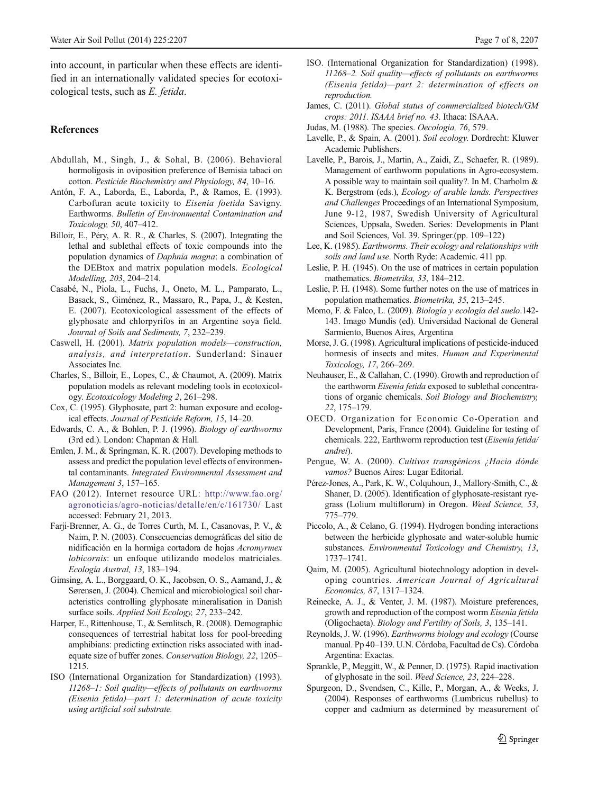<span id="page-6-0"></span>into account, in particular when these effects are identified in an internationally validated species for ecotoxicological tests, such as E. fetida.

#### References

- Abdullah, M., Singh, J., & Sohal, B. (2006). Behavioral hormoligosis in oviposition preference of Bemisia tabaci on cotton. Pesticide Biochemistry and Physiology, 84, 10–16.
- Antón, F. A., Laborda, E., Laborda, P., & Ramos, E. (1993). Carbofuran acute toxicity to Eisenia foetida Savigny. Earthworms. Bulletin of Environmental Contamination and Toxicology, 50, 407–412.
- Billoir, E., Péry, A. R. R., & Charles, S. (2007). Integrating the lethal and sublethal effects of toxic compounds into the population dynamics of Daphnia magna: a combination of the DEBtox and matrix population models. Ecological Modelling, 203, 204–214.
- Casabé, N., Piola, L., Fuchs, J., Oneto, M. L., Pamparato, L., Basack, S., Giménez, R., Massaro, R., Papa, J., & Kesten, E. (2007). Ecotoxicological assessment of the effects of glyphosate and chlorpyrifos in an Argentine soya field. Journal of Soils and Sediments, 7, 232–239.
- Caswell, H. (2001). Matrix population models—construction, analysis, and interpretation. Sunderland: Sinauer Associates Inc.
- Charles, S., Billoir, E., Lopes, C., & Chaumot, A. (2009). Matrix population models as relevant modeling tools in ecotoxicology. Ecotoxicology Modeling 2, 261–298.
- Cox, C. (1995). Glyphosate, part 2: human exposure and ecological effects. Journal of Pesticide Reform, 15, 14–20.
- Edwards, C. A., & Bohlen, P. J. (1996). Biology of earthworms (3rd ed.). London: Chapman & Hall.
- Emlen, J. M., & Springman, K. R. (2007). Developing methods to assess and predict the population level effects of environmental contaminants. Integrated Environmental Assessment and Management 3, 157–165.
- FAO (2012). Internet resource URL: [http://www.fao.org/](http://www.fao.org/agronoticias/agro-noticias/detalle/en/c/161730/) [agronoticias/agro-noticias/detalle/en/c/161730/](http://www.fao.org/agronoticias/agro-noticias/detalle/en/c/161730/) Last accessed: February 21, 2013.
- Farji-Brenner, A. G., de Torres Curth, M. I., Casanovas, P. V., & Naim, P. N. (2003). Consecuencias demográficas del sitio de nidificación en la hormiga cortadora de hojas Acromyrmex lobicornis: un enfoque utilizando modelos matriciales. Ecología Austral, 13, 183–194.
- Gimsing, A. L., Borggaard, O. K., Jacobsen, O. S., Aamand, J., & Sørensen, J. (2004). Chemical and microbiological soil characteristics controlling glyphosate mineralisation in Danish surface soils. Applied Soil Ecology, 27, 233–242.
- Harper, E., Rittenhouse, T., & Semlitsch, R. (2008). Demographic consequences of terrestrial habitat loss for pool-breeding amphibians: predicting extinction risks associated with inadequate size of buffer zones. Conservation Biology, 22, 1205– 1215.
- ISO (International Organization for Standardization) (1993). 11268–1: Soil quality—effects of pollutants on earthworms (Eisenia fetida)—part 1: determination of acute toxicity using artificial soil substrate.
- ISO. (International Organization for Standardization) (1998). 11268–2. Soil quality—effects of pollutants on earthworms (Eisenia fetida)—part 2: determination of effects on reproduction.
- James, C. (2011). Global status of commercialized biotech/GM crops: 2011. ISAAA brief no. 43. Ithaca: ISAAA.
- Judas, M. (1988). The species. Oecologia, 76, 579.
- Lavelle, P., & Spain, A. (2001). Soil ecology. Dordrecht: Kluwer Academic Publishers.
- Lavelle, P., Barois, J., Martin, A., Zaidi, Z., Schaefer, R. (1989). Management of earthworm populations in Agro-ecosystem. A possible way to maintain soil quality?. In M. Charholm & K. Bergstrom (eds.), Ecology of arable lands. Perspectives and Challenges Proceedings of an International Symposium, June 9-12, 1987, Swedish University of Agricultural Sciences, Uppsala, Sweden. Series: Developments in Plant and Soil Sciences, Vol. 39. Springer.(pp. 109–122)
- Lee, K. (1985). Earthworms. Their ecology and relationships with soils and land use. North Ryde: Academic. 411 pp.
- Leslie, P. H. (1945). On the use of matrices in certain population mathematics. Biometrika, 33, 184–212.
- Leslie, P. H. (1948). Some further notes on the use of matrices in population mathematics. Biometrika, 35, 213–245.
- Momo, F. & Falco, L. (2009). Biología y ecología del suelo.142- 143. Imago Mundis (ed). Universidad Nacional de General Sarmiento, Buenos Aires, Argentina
- Morse, J. G. (1998). Agricultural implications of pesticide-induced hormesis of insects and mites. Human and Experimental Toxicology, 17, 266–269.
- Neuhauser, E., & Callahan, C. (1990). Growth and reproduction of the earthworm Eisenia fetida exposed to sublethal concentrations of organic chemicals. Soil Biology and Biochemistry, 22, 175–179.
- OECD. Organization for Economic Co-Operation and Development, Paris, France (2004). Guideline for testing of chemicals. 222, Earthworm reproduction test (Eisenia fetida/ andrei).
- Pengue, W. A. (2000). Cultivos transgénicos ¿Hacia dónde vamos? Buenos Aires: Lugar Editorial.
- Pérez-Jones, A., Park, K. W., Colquhoun, J., Mallory-Smith, C., & Shaner, D. (2005). Identification of glyphosate-resistant ryegrass (Lolium multiflorum) in Oregon. Weed Science, 53, 775–779.
- Piccolo, A., & Celano, G. (1994). Hydrogen bonding interactions between the herbicide glyphosate and water-soluble humic substances. Environmental Toxicology and Chemistry, 13, 1737–1741.
- Qaim, M. (2005). Agricultural biotechnology adoption in developing countries. American Journal of Agricultural Economics, 87, 1317–1324.
- Reinecke, A. J., & Venter, J. M. (1987). Moisture preferences, growth and reproduction of the compost worm Eisenia fetida (Oligochaeta). Biology and Fertility of Soils, 3, 135–141.
- Reynolds, J. W. (1996). Earthworms biology and ecology (Course manual. Pp 40–139. U.N. Córdoba, Facultad de Cs). Córdoba Argentina: Exactas.
- Sprankle, P., Meggitt, W., & Penner, D. (1975). Rapid inactivation of glyphosate in the soil. Weed Science, 23, 224–228.
- Spurgeon, D., Svendsen, C., Kille, P., Morgan, A., & Weeks, J. (2004). Responses of earthworms (Lumbricus rubellus) to copper and cadmium as determined by measurement of